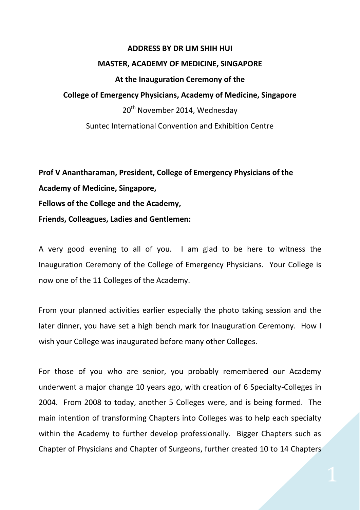## **ADDRESS BY DR LIM SHIH HUI**

## **MASTER, ACADEMY OF MEDICINE, SINGAPORE**

## **At the Inauguration Ceremony of the**

## **College of Emergency Physicians, Academy of Medicine, Singapore**

20<sup>th</sup> November 2014, Wednesday

Suntec International Convention and Exhibition Centre

**Prof V Anantharaman, President, College of Emergency Physicians of the Academy of Medicine, Singapore, Fellows of the College and the Academy, Friends, Colleagues, Ladies and Gentlemen:**

A very good evening to all of you. I am glad to be here to witness the Inauguration Ceremony of the College of Emergency Physicians. Your College is now one of the 11 Colleges of the Academy.

From your planned activities earlier especially the photo taking session and the later dinner, you have set a high bench mark for Inauguration Ceremony. How I wish your College was inaugurated before many other Colleges.

For those of you who are senior, you probably remembered our Academy underwent a major change 10 years ago, with creation of 6 Specialty-Colleges in 2004. From 2008 to today, another 5 Colleges were, and is being formed. The main intention of transforming Chapters into Colleges was to help each specialty within the Academy to further develop professionally. Bigger Chapters such as Chapter of Physicians and Chapter of Surgeons, further created 10 to 14 Chapters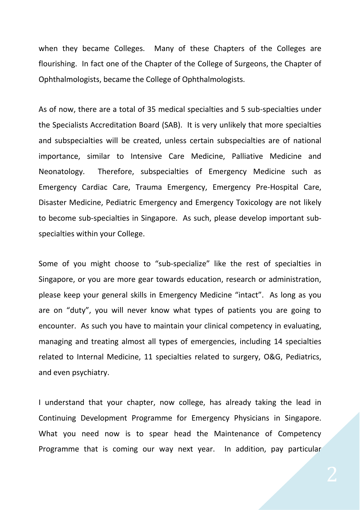when they became Colleges. Many of these Chapters of the Colleges are flourishing. In fact one of the Chapter of the College of Surgeons, the Chapter of Ophthalmologists, became the College of Ophthalmologists.

As of now, there are a total of 35 medical specialties and 5 sub-specialties under the Specialists Accreditation Board (SAB). It is very unlikely that more specialties and subspecialties will be created, unless certain subspecialties are of national importance, similar to Intensive Care Medicine, Palliative Medicine and Neonatology. Therefore, subspecialties of Emergency Medicine such as Emergency Cardiac Care, Trauma Emergency, Emergency Pre-Hospital Care, Disaster Medicine, Pediatric Emergency and Emergency Toxicology are not likely to become sub-specialties in Singapore. As such, please develop important subspecialties within your College.

Some of you might choose to "sub-specialize" like the rest of specialties in Singapore, or you are more gear towards education, research or administration, please keep your general skills in Emergency Medicine "intact". As long as you are on "duty", you will never know what types of patients you are going to encounter. As such you have to maintain your clinical competency in evaluating, managing and treating almost all types of emergencies, including 14 specialties related to Internal Medicine, 11 specialties related to surgery, O&G, Pediatrics, and even psychiatry.

I understand that your chapter, now college, has already taking the lead in Continuing Development Programme for Emergency Physicians in Singapore. What you need now is to spear head the Maintenance of Competency Programme that is coming our way next year. In addition, pay particular